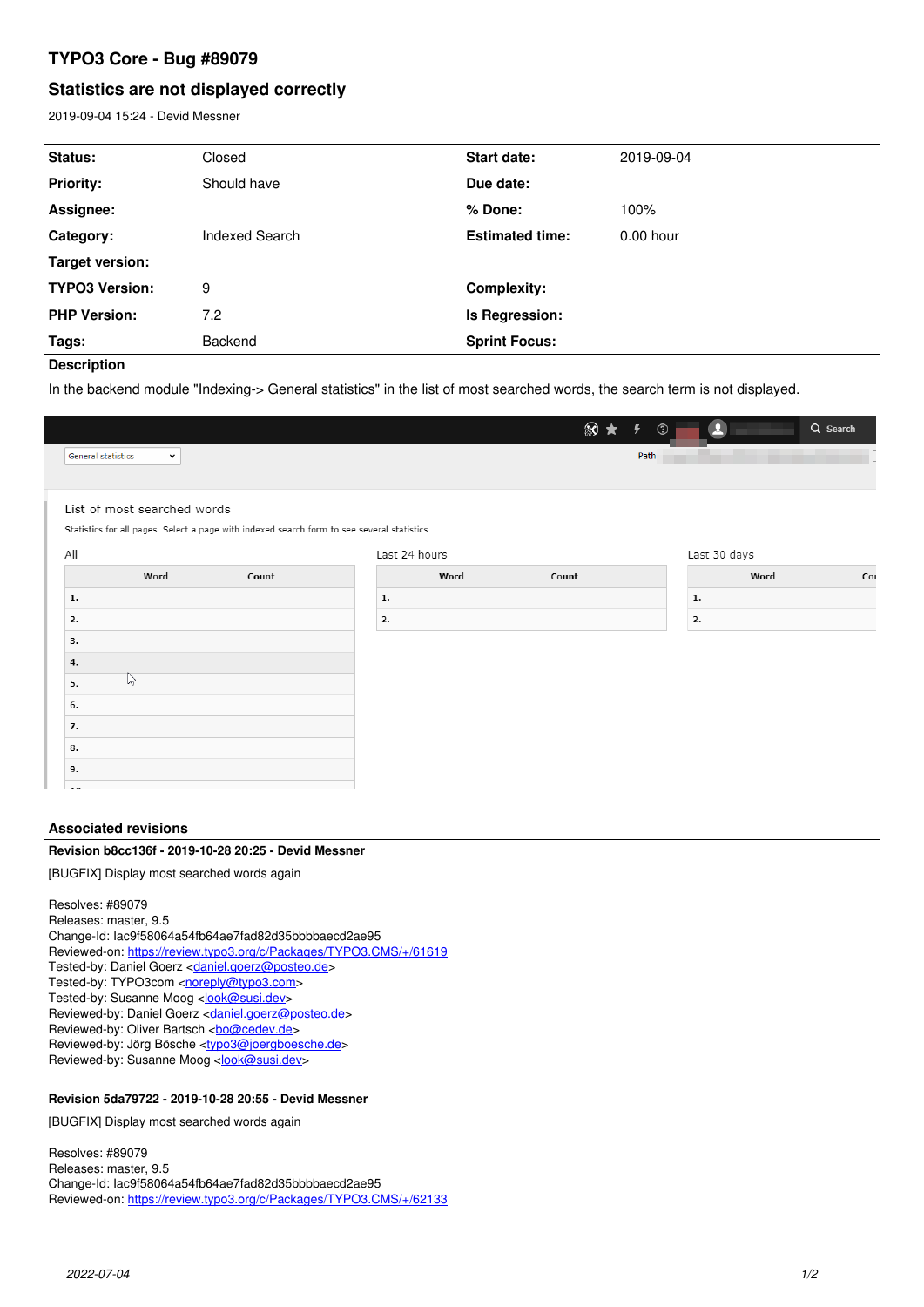# **TYPO3 Core - Bug #89079**

# **Statistics are not displayed correctly**

2019-09-04 15:24 - Devid Messner

| <b>Status:</b>        | Closed         | <b>Start date:</b>     | 2019-09-04  |
|-----------------------|----------------|------------------------|-------------|
| <b>Priority:</b>      | Should have    | Due date:              |             |
| Assignee:             |                | % Done:                | 100%        |
| Category:             | Indexed Search | <b>Estimated time:</b> | $0.00$ hour |
| Target version:       |                |                        |             |
| <b>TYPO3 Version:</b> | 9              | <b>Complexity:</b>     |             |
| <b>PHP Version:</b>   | 7.2            | Is Regression:         |             |
| Tags:                 | Backend        | <b>Sprint Focus:</b>   |             |
|                       |                |                        |             |

## **Description**

In the backend module "Indexing-> General statistics" in the list of most searched words, the search term is not displayed.

|                                                                                             |               | $\otimes$ $\star$<br>$\frac{1}{2}$<br>$^{\circledR}$ | $\overline{\mathbf{r}}$ | Q Search |
|---------------------------------------------------------------------------------------------|---------------|------------------------------------------------------|-------------------------|----------|
| <b>General statistics</b><br>$\check{~}$                                                    |               | Path                                                 |                         |          |
|                                                                                             |               |                                                      |                         |          |
| List of most searched words                                                                 |               |                                                      |                         |          |
| Statistics for all pages. Select a page with indexed search form to see several statistics. |               |                                                      |                         |          |
| All                                                                                         | Last 24 hours |                                                      | Last 30 days            |          |
| Word<br>Count                                                                               | Word<br>Count |                                                      | Word                    | Cot      |
| 1.                                                                                          | 1.            |                                                      | 1.                      |          |
| 2.                                                                                          | 2.            |                                                      | 2.                      |          |
| 3.                                                                                          |               |                                                      |                         |          |
| 4.                                                                                          |               |                                                      |                         |          |
| $\mathbb{Z}$<br>5.                                                                          |               |                                                      |                         |          |
| 6.                                                                                          |               |                                                      |                         |          |
| 7.                                                                                          |               |                                                      |                         |          |
| 8.                                                                                          |               |                                                      |                         |          |
| 9.                                                                                          |               |                                                      |                         |          |
| $\overline{\phantom{a}}$                                                                    |               |                                                      |                         |          |

## **Associated revisions**

## **Revision b8cc136f - 2019-10-28 20:25 - Devid Messner**

[BUGFIX] Display most searched words again

```
Resolves: #89079
Releases: master, 9.5
Change-Id: Iac9f58064a54fb64ae7fad82d35bbbbaecd2ae95
Reviewed-on: https://review.typo3.org/c/Packages/TYPO3.CMS/+/61619
daniel.goerz@posteo.de>
<noreply@typo3.com>
look@susi.dev>
<daniel.goerz@posteo.de>
Reviewed-by: Oliver Bartsch <br/> <br/> <br/> <br/> <br/> <br/> <br/> <br/> Reviewed-by: Oliver Bartsch <br/> <br/> <br/> <br/><br/>\frac{1}{2}<typo3@joergboesche.de>
look@susi.dev>
```
## **Revision 5da79722 - 2019-10-28 20:55 - Devid Messner**

[BUGFIX] Display most searched words again

Resolves: #89079 Releases: master, 9.5 Change-Id: Iac9f58064a54fb64ae7fad82d35bbbbaecd2ae95 Reviewed-on:<https://review.typo3.org/c/Packages/TYPO3.CMS/+/62133>